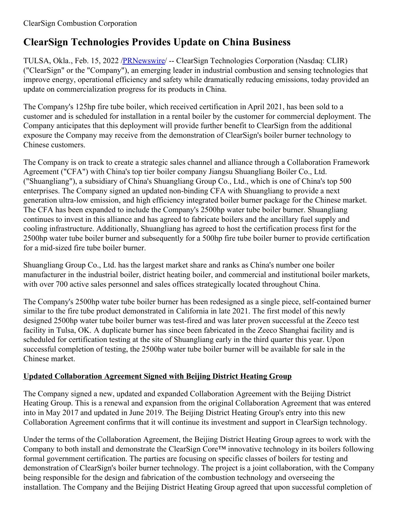# **ClearSign Technologies Provides Update on China Business**

TULSA, Okla., Feb. 15, 2022 /**PRNewswire/ --** ClearSign Technologies Corporation (Nasdaq: CLIR) ("ClearSign" or the "Company"), an emerging leader in industrial combustion and sensing technologies that improve energy, operational efficiency and safety while dramatically reducing emissions, today provided an update on commercialization progress for its products in China.

The Company's 125hp fire tube boiler, which received certification in April 2021, has been sold to a customer and is scheduled for installation in a rental boiler by the customer for commercial deployment. The Company anticipates that this deployment will provide further benefit to ClearSign from the additional exposure the Company may receive from the demonstration of ClearSign's boiler burner technology to Chinese customers.

The Company is on track to create a strategic sales channel and alliance through a Collaboration Framework Agreement ("CFA") with China's top tier boiler company Jiangsu Shuangliang Boiler Co., Ltd. ("Shuangliang"), a subsidiary of China's Shuangliang Group Co., Ltd., which is one of China's top 500 enterprises. The Company signed an updated non-binding CFA with Shuangliang to provide a next generation ultra-low emission, and high efficiency integrated boiler burner package for the Chinese market. The CFA has been expanded to include the Company's 2500hp water tube boiler burner. Shuangliang continues to invest in this alliance and has agreed to fabricate boilers and the ancillary fuel supply and cooling infrastructure. Additionally, Shuangliang has agreed to host the certification process first for the 2500hp water tube boiler burner and subsequently for a 500hp fire tube boiler burner to provide certification for a mid-sized fire tube boiler burner.

Shuangliang Group Co., Ltd. has the largest market share and ranks as China's number one boiler manufacturer in the industrial boiler, district heating boiler, and commercial and institutional boiler markets, with over 700 active sales personnel and sales offices strategically located throughout China.

The Company's 2500hp water tube boiler burner has been redesigned as a single piece, self-contained burner similar to the fire tube product demonstrated in California in late 2021. The first model of this newly designed 2500hp water tube boiler burner was test-fired and was later proven successful at the Zeeco test facility in Tulsa, OK. A duplicate burner has since been fabricated in the Zeeco Shanghai facility and is scheduled for certification testing at the site of Shuangliang early in the third quarter this year. Upon successful completion of testing, the 2500hp water tube boiler burner will be available for sale in the Chinese market.

## **Updated Collaboration Agreement Signed with Beijing District Heating Group**

The Company signed a new, updated and expanded Collaboration Agreement with the Beijing District Heating Group. This is a renewal and expansion from the original Collaboration Agreement that was entered into in May 2017 and updated in June 2019. The Beijing District Heating Group's entry into this new Collaboration Agreement confirms that it will continue its investment and support in ClearSign technology.

Under the terms of the Collaboration Agreement, the Beijing District Heating Group agrees to work with the Company to both install and demonstrate the ClearSign Core™ innovative technology in its boilers following formal government certification. The parties are focusing on specific classes of boilers for testing and demonstration of ClearSign's boiler burner technology. The project is a joint collaboration, with the Company being responsible for the design and fabrication of the combustion technology and overseeing the installation. The Company and the Beijing District Heating Group agreed that upon successful completion of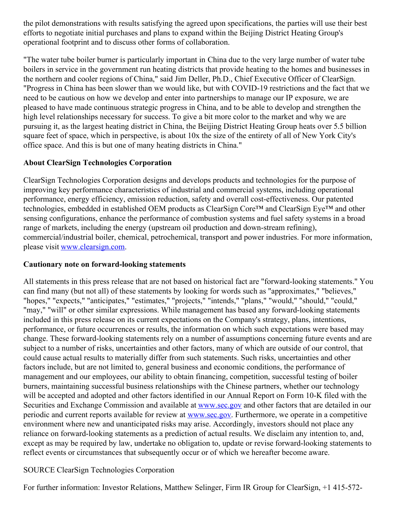the pilot demonstrations with results satisfying the agreed upon specifications, the parties will use their best efforts to negotiate initial purchases and plans to expand within the Beijing District Heating Group's operational footprint and to discuss other forms of collaboration.

"The water tube boiler burner is particularly important in China due to the very large number of water tube boilers in service in the government run heating districts that provide heating to the homes and businesses in the northern and cooler regions of China," said Jim Deller, Ph.D., Chief Executive Officer of ClearSign. "Progress in China has been slower than we would like, but with COVID-19 restrictions and the fact that we need to be cautious on how we develop and enter into partnerships to manage our IP exposure, we are pleased to have made continuous strategic progress in China, and to be able to develop and strengthen the high level relationships necessary for success. To give a bit more color to the market and why we are pursuing it, as the largest heating district in China, the Beijing District Heating Group heats over 5.5 billion square feet of space, which in perspective, is about 10x the size of the entirety of all of New York City's office space. And this is but one of many heating districts in China."

### **About ClearSign Technologies Corporation**

ClearSign Technologies Corporation designs and develops products and technologies for the purpose of improving key performance characteristics of industrial and commercial systems, including operational performance, energy efficiency, emission reduction, safety and overall cost-effectiveness. Our patented technologies, embedded in established OEM products as ClearSign Core™ and ClearSign Eye™ and other sensing configurations, enhance the performance of combustion systems and fuel safety systems in a broad range of markets, including the energy (upstream oil production and down-stream refining), commercial/industrial boiler, chemical, petrochemical, transport and power industries. For more information, please visit [www.clearsign.com](https://c212.net/c/link/?t=0&l=en&o=3443671-1&h=4185935397&u=http%3A%2F%2Fwww.clearsign.com%2F&a=www.clearsign.com).

#### **Cautionary note on forward-looking statements**

All statements in this press release that are not based on historical fact are "forward-looking statements." You can find many (but not all) of these statements by looking for words such as "approximates," "believes," "hopes," "expects," "anticipates," "estimates," "projects," "intends," "plans," "would," "should," "could," "may," "will" or other similar expressions. While management has based any forward-looking statements included in this press release on its current expectations on the Company's strategy, plans, intentions, performance, or future occurrences or results, the information on which such expectations were based may change. These forward-looking statements rely on a number of assumptions concerning future events and are subject to a number of risks, uncertainties and other factors, many of which are outside of our control, that could cause actual results to materially differ from such statements. Such risks, uncertainties and other factors include, but are not limited to, general business and economic conditions, the performance of management and our employees, our ability to obtain financing, competition, successful testing of boiler burners, maintaining successful business relationships with the Chinese partners, whether our technology will be accepted and adopted and other factors identified in our Annual Report on Form 10-K filed with the Securities and Exchange Commission and available at [www.sec.gov](http://www.sec.gov) and other factors that are detailed in our periodic and current reports available for review at [www.sec.gov](http://www.sec.gov). Furthermore, we operate in a competitive environment where new and unanticipated risks may arise. Accordingly, investors should not place any reliance on forward-looking statements as a prediction of actual results. We disclaim any intention to, and, except as may be required by law, undertake no obligation to, update or revise forward-looking statements to reflect events or circumstances that subsequently occur or of which we hereafter become aware.

### SOURCE ClearSign Technologies Corporation

For further information: Investor Relations, Matthew Selinger, Firm IR Group for ClearSign, +1 415-572-